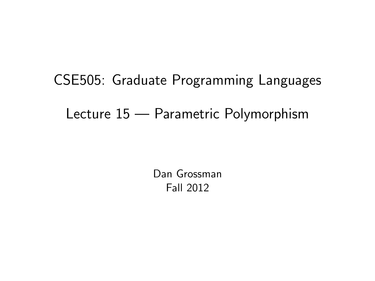# CSE505: Graduate Programming Languages Lecture 15 — Parametric Polymorphism

<span id="page-0-0"></span>Dan Grossman Fall 2012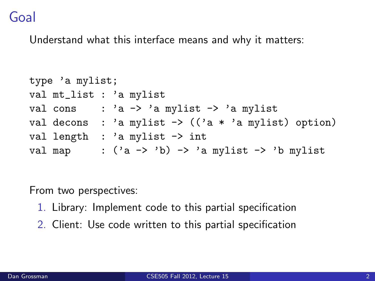### Goal

Understand what this interface means and why it matters:

```
type 'a mylist;
val mt_list : 'a mylist
val cons : 'a \rightarrow 'a mylist \rightarrow 'a mylist
val decons : 'a mylist \rightarrow (('a * 'a mylist) option)
val length : 'a mylist -> int
val map : ('a \rightarrow 'b) \rightarrow 'a mylist \rightarrow 'b mylist
```
From two perspectives:

- 1. Library: Implement code to this partial specification
- 2. Client: Use code written to this partial specification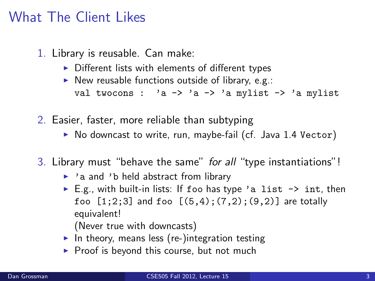#### What The Client Likes

- 1. Library is reusable. Can make:
	- $\triangleright$  Different lists with elements of different types
	- $\triangleright$  New reusable functions outside of library, e.g.: val twocons :  $a \rightarrow a \rightarrow a$  -x a mylist -> 'a mylist
- 2. Easier, faster, more reliable than subtyping
	- $\triangleright$  No downcast to write, run, maybe-fail (cf. Java 1.4 Vector)
- 3. Library must "behave the same" for all "type instantiations"!
	- $\rightarrow$  'a and 'b held abstract from library
	- E.g., with built-in lists: If foo has type 'a list  $\rightarrow$  int, then foo  $[1;2;3]$  and foo  $[(5,4);(7,2);(9,2)]$  are totally equivalent!

(Never true with downcasts)

- In theory, means less (re-)integration testing
- $\triangleright$  Proof is beyond this course, but not much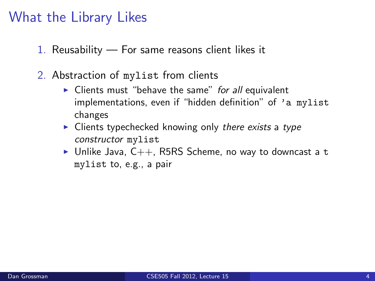#### What the Library Likes

- 1. Reusability For same reasons client likes it
- 2. Abstraction of mylist from clients
	- $\triangleright$  Clients must "behave the same" for all equivalent implementations, even if "hidden definition" of 'a mylist changes
	- $\triangleright$  Clients typechecked knowing only there exists a type constructor mylist
	- In Unlike Java,  $C_{++}$ , R5RS Scheme, no way to downcast a t mylist to, e.g., a pair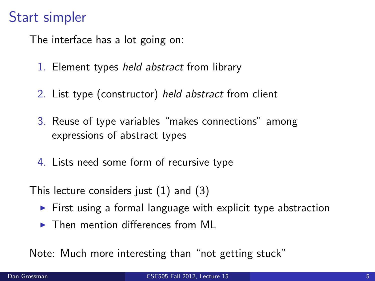## Start simpler

The interface has a lot going on:

- 1. Element types held abstract from library
- 2. List type (constructor) held abstract from client
- 3. Reuse of type variables "makes connections" among expressions of abstract types
- 4. Lists need some form of recursive type
- This lecture considers just (1) and (3)
	- $\triangleright$  First using a formal language with explicit type abstraction
	- $\triangleright$  Then mention differences from ML

Note: Much more interesting than "not getting stuck"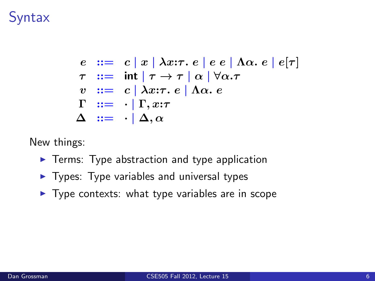## **Syntax**

$$
e ::= c | x | \lambda x{:}\tau. e | e e | \Lambda \alpha. e | e[\tau]
$$
  
\n
$$
\tau ::= \int \int \tau \cdot \tau | \alpha | \forall \alpha. \tau
$$
  
\n
$$
v ::= c | \lambda x{:}\tau. e | \Lambda \alpha. e
$$
  
\n
$$
\Gamma ::= \cdot | \Gamma, x{:}\tau
$$
  
\n
$$
\Delta ::= \cdot | \Delta, \alpha
$$

New things:

- $\blacktriangleright$  Terms: Type abstraction and type application
- $\blacktriangleright$  Types: Type variables and universal types
- $\blacktriangleright$  Type contexts: what type variables are in scope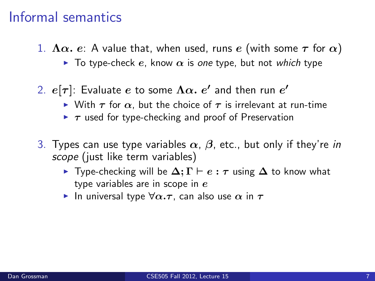#### Informal semantics

- 1.  $\Lambda \alpha$ . e: A value that, when used, runs e (with some  $\tau$  for  $\alpha$ )
	- $\triangleright$  To type-check e, know  $\alpha$  is one type, but not which type
- 2.  $e[\tau]$ : Evaluate  $e$  to some  $\Lambda\alpha.$   $e'$  and then run  $e'$ 
	- $\triangleright$  With  $\tau$  for  $\alpha$ , but the choice of  $\tau$  is irrelevant at run-time
	- $\triangleright$   $\tau$  used for type-checking and proof of Preservation
- 3. Types can use type variables  $\alpha$ ,  $\beta$ , etc., but only if they're in scope (just like term variables)
	- $\triangleright$  Type-checking will be  $\Delta; \Gamma \vdash e : \tau$  using  $\Delta$  to know what type variables are in scope in  $e$
	- In universal type  $\forall \alpha.\tau$ , can also use  $\alpha$  in  $\tau$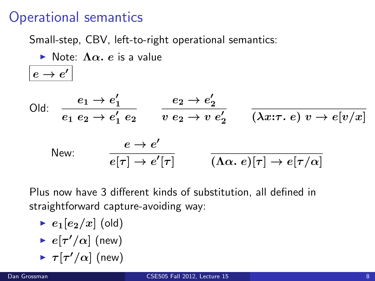### Operational semantics

 $e \rightarrow e'$ 

Small-step, CBV, left-to-right operational semantics:

 $\triangleright$  Note:  $\Lambda \alpha$ , e is a value

Old:

\n
$$
\frac{e_1 \rightarrow e_1'}{e_1 \, e_2 \rightarrow e_1' \, e_2} \quad \frac{e_2 \rightarrow e_2'}{v \, e_2 \rightarrow v \, e_2'} \quad \frac{\lambda x : \tau \cdot e \, v \rightarrow e[v/x]}{v \, e_2 \rightarrow v \, e_2'} \quad \frac{\lambda x : \tau \cdot e \, v \rightarrow e[v/x]}{v \, e_2 \rightarrow v \, e_2'} \quad \frac{\lambda x : \tau \cdot e \, v \rightarrow e[v/x]}{v \, e_2 \rightarrow v \, e_2'} \quad \frac{\lambda x : \tau \cdot e \, v \rightarrow e[v/x]}{v \, e_2 \rightarrow v \, e_2'} \quad \frac{\lambda x : \tau \cdot e \, v \rightarrow e[v/x]}{v \, e_2 \rightarrow v \, e_2'} \quad \frac{\lambda x : \tau \cdot e \, v \rightarrow e[v/x]}{v \, e_2 \rightarrow v \, e_2'} \quad \frac{\lambda x : \tau \cdot e \, v \rightarrow e[v/x]}{v \, e_2 \rightarrow v \, e_2'} \quad \frac{\lambda x : \tau \cdot e \, v \rightarrow e[v/x]}{v \, e_2 \rightarrow v \, e_2'} \quad \frac{\lambda x : \tau \cdot e \, v \rightarrow e[v/x]}{v \, e_2 \rightarrow v \, e_2'} \quad \frac{\lambda x : \tau \cdot e \, v \rightarrow e[v/x]}{v \, e_2 \rightarrow v \, e_2'} \quad \frac{\lambda x : \tau \cdot e \, v \rightarrow e[v/x]}{v \, e_2 \rightarrow v \, e_2'} \quad \frac{\lambda x : \tau \cdot e \, v \rightarrow e[v/x]}{v \, e_2 \rightarrow v \, e_2'} \quad \frac{\lambda x : \tau \cdot e \, v \rightarrow e[v/x]}{v \, e_2 \rightarrow v \, e_2'} \quad \frac{\lambda x : \tau \cdot e \, v \rightarrow e[v/x]}{v \, e_2 \rightarrow v \, e_2'} \quad \frac{\lambda x : \tau \cdot e \, v \rightarrow e[v/x]}{v \, e_2 \rightarrow v \, e_2'} \quad \frac{\lambda x : \tau \cdot e \, v \rightarrow e[v/x]}{v \, e_2 \rightarrow v \, e_2'} \quad \frac{\lambda x : \tau \cdot e \, v \rightarrow e[v/x]}{v \, e_2' \rightarrow v \, e_2' \rightarrow v \, e_2'} \quad \frac{\lambda x : \tau \cdot e \, v \rightarrow e[v/x]}{v \, e_2' \rightarrow v \
$$

Plus now have 3 different kinds of substitution, all defined in straightforward capture-avoiding way:

- $\blacktriangleright$   $e_1[e_2/x]$  (old)
- $\blacktriangleright$   $e[\tau'/\alpha]$  (new)
- $\blacktriangleright$   $\tau[\tau'/\alpha]$  (new)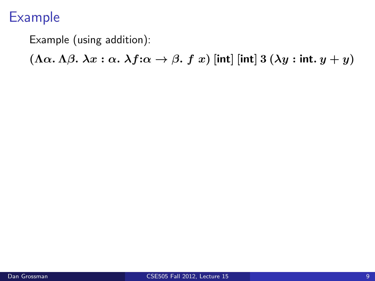Example (using addition):

(Λα. Λ $\beta$ .  $\lambda x : \alpha$ .  $\lambda f : \alpha \to \beta$ . f x) [int] [int] 3 ( $\lambda y :$  int.  $y + y$ )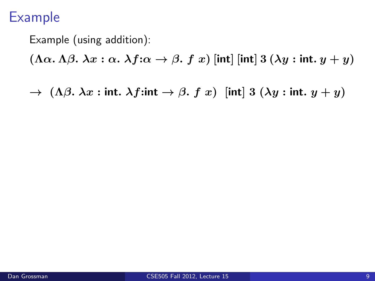Example (using addition):

 $(\Lambda \alpha. \Lambda \beta. \lambda x : \alpha. \lambda f: \alpha \rightarrow \beta. f x)$  [int] [int] 3  $(\lambda y : \text{int. } y + y)$ 

 $\rightarrow$  ( $\Lambda\beta$ .  $\lambda x$  : int.  $\lambda f$ :int  $\rightarrow$   $\beta$ .  $f(x)$  [int] 3 ( $\lambda y$  : int.  $y + y$ )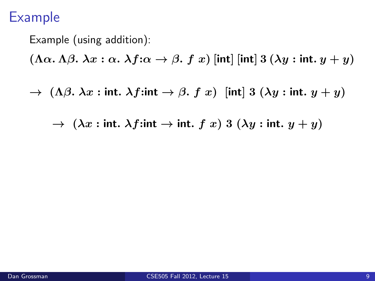Example (using addition):  $(\Lambda \alpha, \Lambda \beta, \lambda x : \alpha \cdot \lambda f : \alpha \rightarrow \beta, f x)$  [int] [int] 3  $(\lambda y : \text{int. } y + y)$  $\rightarrow$  ( $\Lambda\beta$ .  $\lambda x$  : int.  $\lambda f$ :int  $\rightarrow$   $\beta$ .  $f(x)$  [int] 3 ( $\lambda y$  : int.  $y + y$ )  $\rightarrow (\lambda x : \text{int. }\lambda f: \text{int } \rightarrow \text{int. } f x) 3 (\lambda y : \text{int. } y + y)$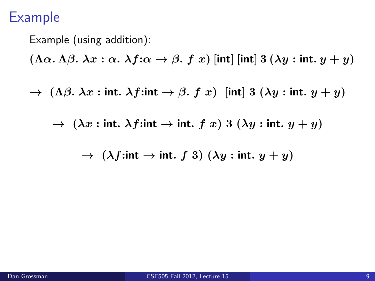Example (using addition):  $(\Lambda \alpha, \Lambda \beta, \lambda x : \alpha \cdot \lambda f : \alpha \rightarrow \beta, f x)$  [int] [int] 3  $(\lambda y : \text{int. } y + y)$  $\rightarrow$  ( $\Lambda\beta$ .  $\lambda x$  : int.  $\lambda f$ :int  $\rightarrow$   $\beta$ .  $f(x)$  [int] 3 ( $\lambda y$  : int.  $y + y$ )  $\rightarrow$   $(\lambda x : \text{int. }\lambda f: \text{int } \rightarrow \text{int. } f x) 3 (\lambda y : \text{int. } y + y)$  $\rightarrow$  ( $\lambda f$ :int  $\rightarrow$  int. f 3) ( $\lambda y$  : int.  $y + y$ )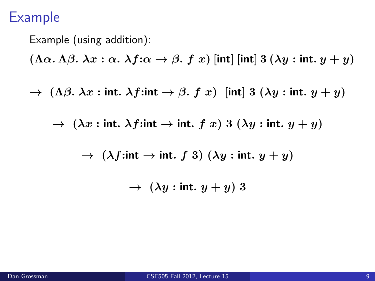Example (using addition):

\n
$$
(\Lambda \alpha. \Lambda \beta. \lambda x : \alpha. \lambda f : \alpha \to \beta. f x) \text{ [int] [int] } 3 (\lambda y : \text{int. } y + y)
$$
\n
$$
\to (\Lambda \beta. \lambda x : \text{int. } \lambda f : \text{int. } \to \beta. f x) \text{ [int] } 3 (\lambda y : \text{int. } y + y)
$$
\n
$$
\to (\lambda x : \text{int. } \lambda f : \text{int. } \to \text{int. } f x) \text{ } 3 (\lambda y : \text{int. } y + y)
$$
\n
$$
\to (\lambda f : \text{int. } \to \text{int. } f 3) (\lambda y : \text{int. } y + y)
$$
\n
$$
\to (\lambda y : \text{int. } y + y) 3
$$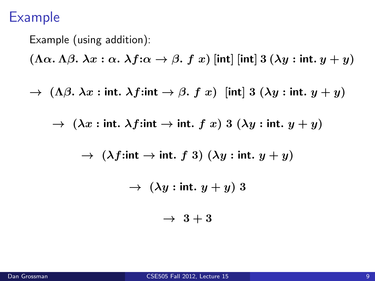Example (using addition):

\n
$$
(\Lambda \alpha. \Lambda \beta. \lambda x : \alpha. \lambda f : \alpha \to \beta. f x) \text{ [int] [int] 3 (\lambda y : int. y + y)}
$$
\n
$$
\to (\Lambda \beta. \lambda x : int. \lambda f : int \to \beta. f x) \text{ [int] 3 (\lambda y : int. y + y)}
$$
\n
$$
\to (\lambda x : int. \lambda f : int \to int. f x) 3 (\lambda y : int. y + y)
$$
\n
$$
\to (\lambda f : int \to int. f 3) (\lambda y : int. y + y)
$$
\n
$$
\to (\lambda y : int. y + y) 3
$$
\n
$$
\to 3 + 3
$$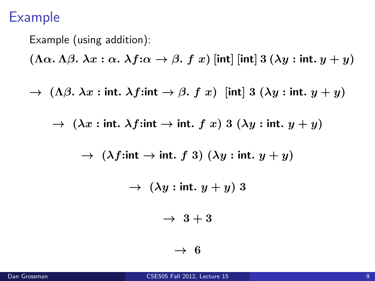Example (using addition):

\n
$$
(\Lambda \alpha. \Lambda \beta. \lambda x : \alpha. \lambda f : \alpha \to \beta. \ f \ x) \text{ [int] [int] 3 (\lambda y : int. y + y)}
$$
\n
$$
\to (\Lambda \beta. \lambda x : int. \lambda f : int \to \beta. \ f \ x) \text{ [int] 3 (\lambda y : int. y + y)}
$$
\n
$$
\to (\lambda x : int. \lambda f : int \to int. \ f \ x) \ 3 (\lambda y : int. y + y)
$$
\n
$$
\to (\lambda f : int \to int. \ f \ 3) (\lambda y : int. y + y)
$$
\n
$$
\to (\lambda y : int. y + y) \ 3
$$
\n
$$
\to \ 3 + 3
$$
\n
$$
\to \ 6
$$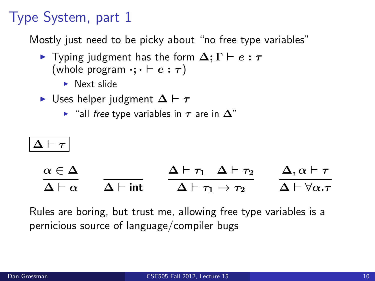## Type System, part 1

Mostly just need to be picky about "no free type variables"

- $\triangleright$  Typing judgment has the form  $\Delta; \Gamma \vdash e : τ$ (whole program  $\cdot; \cdot \vdash e : \tau$ )
	- $\blacktriangleright$  Next slide
- $\triangleright$  Uses helper judgment  $\Delta \vdash \tau$ 
	- $\triangleright$  "all free type variables in  $\tau$  are in  $\Delta$ "

# $\Delta \vdash \tau$

| $\alpha \in \Delta$    |                       | $\Delta \vdash \tau_1 \quad \Delta \vdash \tau_2$ | $\Delta, \alpha \vdash \tau$          |
|------------------------|-----------------------|---------------------------------------------------|---------------------------------------|
| $\Delta \vdash \alpha$ | $\Delta$ $\vdash$ int | $\Delta \vdash \tau_1 \rightarrow \tau_2$         | $\Delta \vdash \forall \alpha . \tau$ |

Rules are boring, but trust me, allowing free type variables is a pernicious source of language/compiler bugs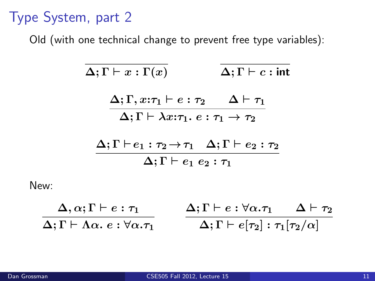## Type System, part 2

Old (with one technical change to prevent free type variables):

$$
\Delta; \Gamma \vdash x : \Gamma(x) \qquad \Delta; \Gamma \vdash c : \text{int}
$$
\n
$$
\frac{\Delta; \Gamma, x : \tau_1 \vdash e : \tau_2 \qquad \Delta \vdash \tau_1}{\Delta; \Gamma \vdash \lambda x : \tau_1. e : \tau_1 \to \tau_2}
$$
\n
$$
\frac{\Delta; \Gamma \vdash e_1 : \tau_2 \to \tau_1 \quad \Delta; \Gamma \vdash e_2 : \tau_2}{\Delta; \Gamma \vdash e_1 e_2 : \tau_1}
$$

$$
\frac{\Delta, \alpha; \Gamma \vdash e : \tau_1}{\Delta; \Gamma \vdash \Lambda \alpha. e : \forall \alpha. \tau_1} \qquad \frac{\Delta; \Gamma \vdash e : \forall \alpha. \tau_1 \quad \Delta \vdash \tau_2}{\Delta; \Gamma \vdash e[\tau_2] : \tau_1[\tau_2/\alpha]}
$$

New: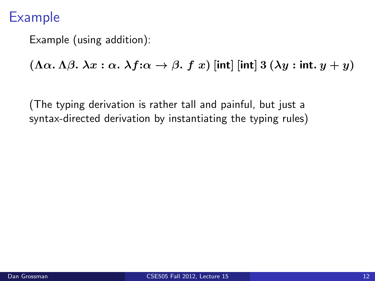Example (using addition):

 $(\Lambda \alpha. \Lambda \beta. \lambda x : \alpha. \lambda f: \alpha \rightarrow \beta. f x)$  [int]  $[\text{int}]$  3  $(\lambda y : \text{int. } y + y)$ 

(The typing derivation is rather tall and painful, but just a syntax-directed derivation by instantiating the typing rules)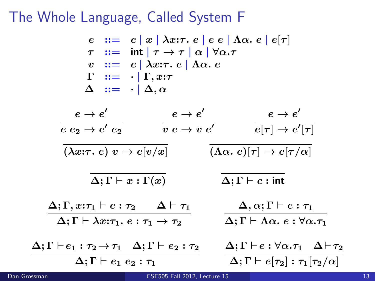#### The Whole Language, Called System F

e  $\coloneqq c |x| \lambda x \tau, e |e e| \Lambda \alpha, e |e \tau|$  $\tau$  ::= int  $|\tau \to \tau| \alpha | \forall \alpha.\tau$  $v := c | \lambda x : \tau e | \Lambda \alpha e$  $\Gamma$  ::=  $\cdot | \Gamma, x : \tau$  $\Delta$  ::=  $\cdot | \Delta$ ,  $\alpha$  $e \rightarrow e'$  $e$   $e_2 \rightarrow e'$   $e_2$  $e \rightarrow e'$  $v\ e\to v\ e^\prime$  $e \rightarrow e'$  $e[\tau] \to e'$  $\overline{e[\tau] \to e'[\tau]}$  $(\lambda x{:}\tau, e) v \rightarrow e[v/x]$   $(\Lambda \alpha, e)[\tau] \rightarrow e[\tau/\alpha]$  $\Delta; \Gamma \vdash x : \Gamma(x)$   $\Delta; \Gamma \vdash c : \text{int}$  $\Delta; \Gamma, x{:}\tau_1 \vdash e : \tau_2 \quad \Delta \vdash \tau_1$  $\Delta; \Gamma \vdash \lambda x{:}\tau_1.\ e : \tau_1 \rightarrow \tau_2$  $\Delta, \alpha ; \Gamma \vdash e : \tau_1$  $\Delta; \Gamma \vdash \Lambda \alpha. e : \forall \alpha . \tau_1$  $\Delta;\Gamma \vdash e_1 : \tau_2 \mathbin{\rightarrow} \tau_1 \quad \Delta;\Gamma \vdash e_2 : \tau_2 \qquad \Delta;\Gamma \vdash e:\forall \alpha . \tau_1 \quad \Delta \vdash \tau_2$  $\Delta: \Gamma \vdash e_1 \; e_2 : \tau_1$  $\Delta; \Gamma \vdash e[\tau_2] : \tau_1[\tau_2/\alpha]$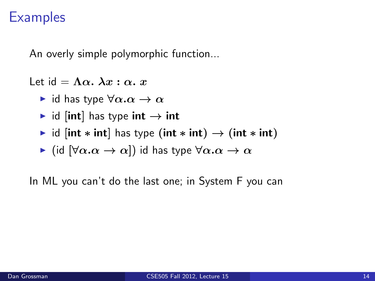An overly simple polymorphic function...

Let  $id = \Lambda \alpha$ .  $\lambda x : \alpha$ . x

- id has type  $\forall \alpha . \alpha \rightarrow \alpha$
- $\triangleright$  id [int] has type int  $\rightarrow$  int
- $\triangleright$  id [int  $\ast$  int] has type (int  $\ast$  int)  $\rightarrow$  (int  $\ast$  int)
- $\blacktriangleright$  (id  $[\forall \alpha . \alpha \rightarrow \alpha]$ ) id has type  $\forall \alpha . \alpha \rightarrow \alpha$

In ML you can't do the last one; in System F you can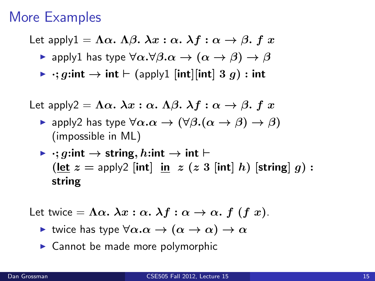### More Examples

- Let apply $1 = \Lambda \alpha$ .  $\Lambda \beta$ .  $\lambda x : \alpha$ .  $\lambda f : \alpha \rightarrow \beta$ . f x
	- $\triangleright$  apply1 has type  $\forall \alpha.\forall \beta.\alpha \rightarrow (\alpha \rightarrow \beta) \rightarrow \beta$
	- $\triangleright$   $\cdot$ ; g:int  $\rightarrow$  int  $\vdash$  (apply1 [int][int] 3 g) : int

Let apply2 =  $\Lambda \alpha$ .  $\lambda x$  :  $\alpha$ .  $\Lambda \beta$ .  $\lambda f$  :  $\alpha \rightarrow \beta$ . f x

- $\triangleright$  apply2 has type  $\forall \alpha.\alpha \rightarrow (\forall \beta.(\alpha \rightarrow \beta) \rightarrow \beta)$ (impossible in ML)
- $\triangleright$  : g:int  $\rightarrow$  string, h:int  $\rightarrow$  int  $\vdash$  $(\text{let } z = \text{apply2} \mid \text{int} | \text{in} z (z 3 \mid \text{int} | h) \mid \text{string} | g)$ : string

Let twice  $=\Lambda \alpha$ .  $\lambda x : \alpha$ .  $\lambda f : \alpha \to \alpha$ .  $f(f x)$ .

- In twice has type  $\forall \alpha . \alpha \rightarrow (\alpha \rightarrow \alpha) \rightarrow \alpha$
- $\triangleright$  Cannot be made more polymorphic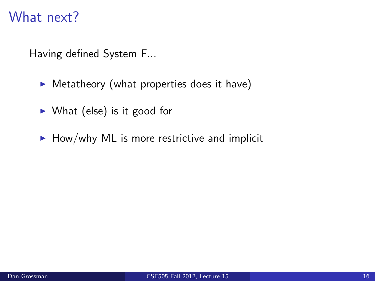### What next?

Having defined System F...

- $\triangleright$  Metatheory (what properties does it have)
- $\triangleright$  What (else) is it good for
- $\blacktriangleright$  How/why ML is more restrictive and implicit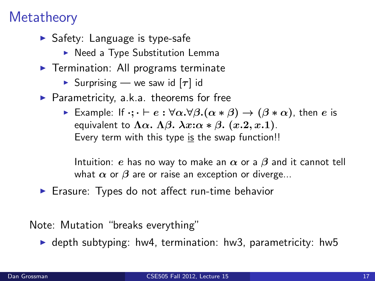## **Metatheory**

- $\blacktriangleright$  Safety: Language is type-safe
	- $\triangleright$  Need a Type Substitution Lemma
- $\blacktriangleright$  Termination: All programs terminate
	- **In** Surprising we saw id  $[\tau]$  id
- $\blacktriangleright$  Parametricity, a.k.a. theorems for free
	- ► Example: If  $\cdot; \cdot \vdash e : \forall \alpha . \forall \beta . (\alpha * \beta) \rightarrow (\beta * \alpha)$ , then *e* is equivalent to  $\Lambda \alpha$ .  $\Lambda \beta$ .  $\lambda x$ : $\alpha * \beta$ .  $(x.2, x.1)$ . Every term with this type is the swap function!!

Intuition: e has no way to make an  $\alpha$  or a  $\beta$  and it cannot tell what  $\alpha$  or  $\beta$  are or raise an exception or diverge...

 $\blacktriangleright$  Erasure: Types do not affect run-time behavior

Note: Mutation "breaks everything"

 $\triangleright$  depth subtyping: hw4, termination: hw3, parametricity: hw5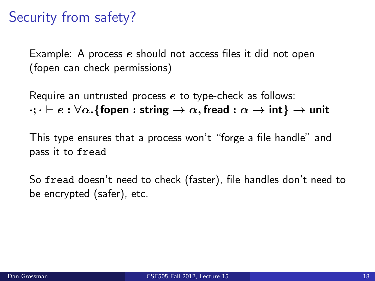## Security from safety?

Example: A process e should not access files it did not open (fopen can check permissions)

Require an untrusted process  $e$  to type-check as follows:  $\cdots \vdash e : \forall \alpha$ . {fopen : string  $\rightarrow \alpha$ , fread :  $\alpha \rightarrow \text{int} \} \rightarrow \text{unit}$ 

This type ensures that a process won't "forge a file handle" and pass it to fread

So fread doesn't need to check (faster), file handles don't need to be encrypted (safer), etc.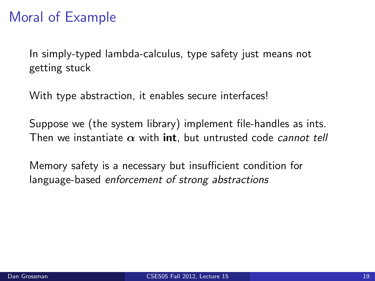## Moral of Example

In simply-typed lambda-calculus, type safety just means not getting stuck

With type abstraction, it enables secure interfaces!

Suppose we (the system library) implement file-handles as ints. Then we instantiate  $\alpha$  with int, but untrusted code cannot tell

Memory safety is a necessary but insufficient condition for language-based enforcement of strong abstractions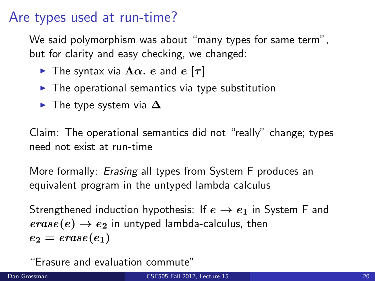#### Are types used at run-time?

We said polymorphism was about "many types for same term", but for clarity and easy checking, we changed:

- **Fig.** The syntax via  $\Lambda \alpha$ . e and e  $[\tau]$
- $\triangleright$  The operational semantics via type substitution
- $\blacktriangleright$  The type system via  $\Delta$

Claim: The operational semantics did not "really" change; types need not exist at run-time

More formally: *Erasing* all types from System F produces an equivalent program in the untyped lambda calculus

Strengthened induction hypothesis: If  $e \rightarrow e_1$  in System F and  $\text{erase}(e) \rightarrow e_2$  in untyped lambda-calculus, then  $e_2 = \text{erase}(e_1)$ 

"Erasure and evaluation commute"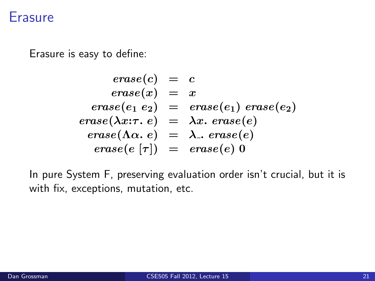#### **Erasure**

Erasure is easy to define:

$$
\begin{array}{rcl} \mathit{erase}(c) & = & c \\ \mathit{erase}(x) & = & x \\ \mathit{erase}(e_1 \ e_2) & = & \mathit{erase}(e_1) \ \mathit{erase}(e_2) \\ \mathit{erase}(\lambda x{:}\tau.\ e) & = & \lambda x.\ \mathit{erase}(e) \\ \mathit{erase}(\Lambda \alpha.\ e) & = & \lambda ..\ \mathit{erase}(e) \\ \mathit{erase}(e\ [\tau]) & = & \mathit{erase}(e)\ 0 \end{array}
$$

In pure System F, preserving evaluation order isn't crucial, but it is with fix, exceptions, mutation, etc.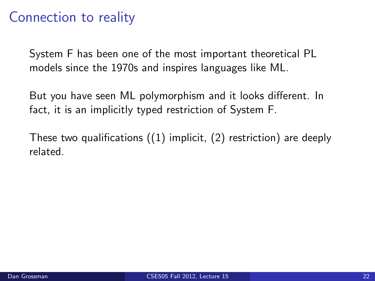#### Connection to reality

System F has been one of the most important theoretical PL models since the 1970s and inspires languages like ML.

But you have seen ML polymorphism and it looks different. In fact, it is an implicitly typed restriction of System F.

These two qualifications  $(1)$  implicit,  $(2)$  restriction) are deeply related.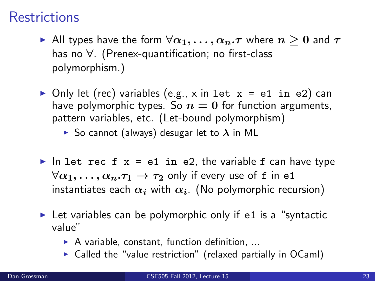## **Restrictions**

- All types have the form  $\forall \alpha_1,\ldots,\alpha_n.\tau$  where  $n>0$  and  $\tau$ has no ∀. (Prenex-quantification; no first-class polymorphism.)
- Only let (rec) variables (e.g., x in let  $x = e1$  in e2) can have polymorphic types. So  $n = 0$  for function arguments, pattern variables, etc. (Let-bound polymorphism)

So cannot (always) desugar let to  $\lambda$  in ML

- In let rec f  $x = e1$  in e2, the variable f can have type  $\forall \alpha_1, \ldots, \alpha_n. \tau_1 \rightarrow \tau_2$  only if every use of f in e1 instantiates each  $\alpha_i$  with  $\alpha_i$ . (No polymorphic recursion)
- $\triangleright$  Let variables can be polymorphic only if e1 is a "syntactic value"
	- $\triangleright$  A variable, constant, function definition, ...
	- $\triangleright$  Called the "value restriction" (relaxed partially in OCaml)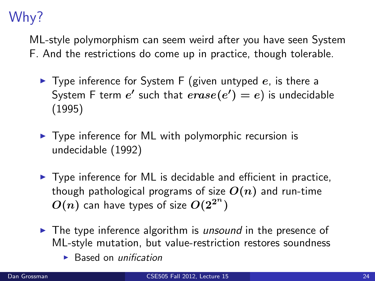# Why?

ML-style polymorphism can seem weird after you have seen System F. And the restrictions do come up in practice, though tolerable.

- $\blacktriangleright$  Type inference for System F (given untyped e, is there a System F term  $e'$  such that  $\mathit{erase}(e') = e)$  is undecidable (1995)
- $\triangleright$  Type inference for ML with polymorphic recursion is undecidable (1992)
- $\triangleright$  Type inference for ML is decidable and efficient in practice, though pathological programs of size  $O(n)$  and run-time  $O(n)$  can have types of size  $O(2^{2^n})$
- $\triangleright$  The type inference algorithm is *unsound* in the presence of ML-style mutation, but value-restriction restores soundness
	- $\blacktriangleright$  Based on *unification*